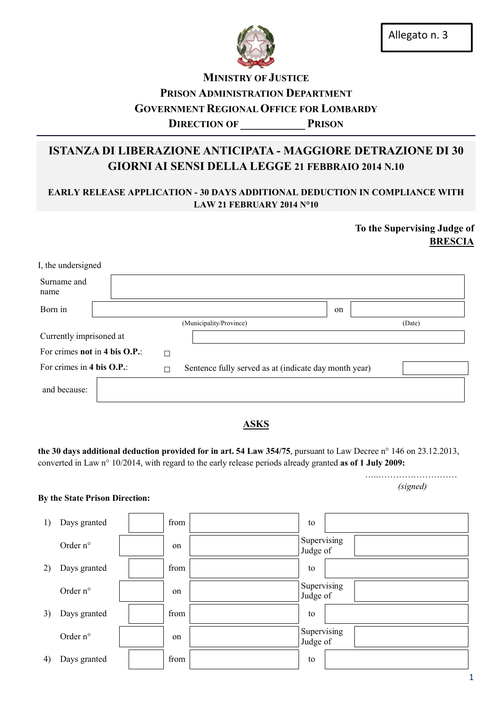

## MINISTRY OF JUSTICE PRISON ADMINISTRATION DEPARTMENT GOVERNMENT REGIONAL OFFICE FOR LOMBARDY DIRECTION OF PRISON

# ISTANZA DI LIBERAZIONE ANTICIPATA - MAGGIORE DETRAZIONE DI 30 GIORNI AI SENSI DELLA LEGGE 21 FEBBRAIO 2014 N.10

### EARLY RELEASE APPLICATION - 30 DAYS ADDITIONAL DEDUCTION IN COMPLIANCE WITH LAW 21 FEBRUARY 2014 N°10

## To the Supervising Judge of BRESCIA

| I, the undersigned             |  |   |                                                       |    |        |  |
|--------------------------------|--|---|-------------------------------------------------------|----|--------|--|
| Surname and<br>name            |  |   |                                                       |    |        |  |
| Born in                        |  |   |                                                       | on |        |  |
|                                |  |   | (Municipality/Province)                               |    | (Date) |  |
| Currently imprisoned at        |  |   |                                                       |    |        |  |
| For crimes not in 4 bis O.P.:  |  | □ |                                                       |    |        |  |
| For crimes in 4 bis O.P.:<br>П |  |   | Sentence fully served as at (indicate day month year) |    |        |  |
| and because:                   |  |   |                                                       |    |        |  |

### **ASKS**

the 30 days additional deduction provided for in art. 54 Law 354/75, pursuant to Law Decree n° 146 on 23.12.2013, converted in Law n° 10/2014, with regard to the early release periods already granted as of 1 July 2009:

 …..……………………… *(signed)*

#### By the State Prison Direction:

| 1) | Days granted      | from | to                      |
|----|-------------------|------|-------------------------|
|    | Order $n^{\circ}$ | on   | Supervising<br>Judge of |
| 2) | Days granted      | from | to                      |
|    | Order $n^{\circ}$ | on   | Supervising<br>Judge of |
| 3) | Days granted      | from | to                      |
|    | Order n°          | on   | Supervising<br>Judge of |
| 4) | Days granted      | from | to                      |